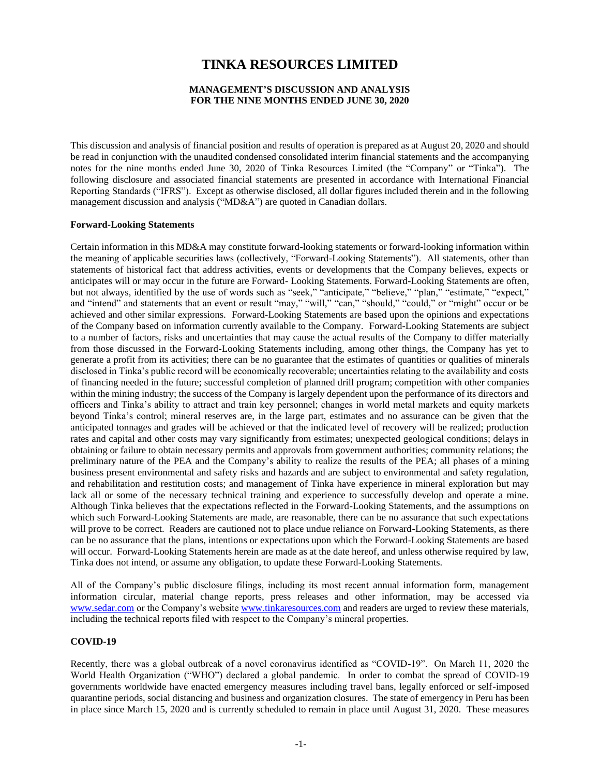# **TINKA RESOURCES LIMITED**

### **MANAGEMENT'S DISCUSSION AND ANALYSIS FOR THE NINE MONTHS ENDED JUNE 30, 2020**

This discussion and analysis of financial position and results of operation is prepared as at August 20, 2020 and should be read in conjunction with the unaudited condensed consolidated interim financial statements and the accompanying notes for the nine months ended June 30, 2020 of Tinka Resources Limited (the "Company" or "Tinka"). The following disclosure and associated financial statements are presented in accordance with International Financial Reporting Standards ("IFRS"). Except as otherwise disclosed, all dollar figures included therein and in the following management discussion and analysis ("MD&A") are quoted in Canadian dollars.

### **Forward-Looking Statements**

Certain information in this MD&A may constitute forward-looking statements or forward-looking information within the meaning of applicable securities laws (collectively, "Forward-Looking Statements"). All statements, other than statements of historical fact that address activities, events or developments that the Company believes, expects or anticipates will or may occur in the future are Forward- Looking Statements. Forward-Looking Statements are often, but not always, identified by the use of words such as "seek," "anticipate," "believe," "plan," "estimate," "expect," and "intend" and statements that an event or result "may," "will," "can," "should," "could," or "might" occur or be achieved and other similar expressions. Forward-Looking Statements are based upon the opinions and expectations of the Company based on information currently available to the Company. Forward-Looking Statements are subject to a number of factors, risks and uncertainties that may cause the actual results of the Company to differ materially from those discussed in the Forward-Looking Statements including, among other things, the Company has yet to generate a profit from its activities; there can be no guarantee that the estimates of quantities or qualities of minerals disclosed in Tinka's public record will be economically recoverable; uncertainties relating to the availability and costs of financing needed in the future; successful completion of planned drill program; competition with other companies within the mining industry; the success of the Company is largely dependent upon the performance of its directors and officers and Tinka's ability to attract and train key personnel; changes in world metal markets and equity markets beyond Tinka's control; mineral reserves are, in the large part, estimates and no assurance can be given that the anticipated tonnages and grades will be achieved or that the indicated level of recovery will be realized; production rates and capital and other costs may vary significantly from estimates; unexpected geological conditions; delays in obtaining or failure to obtain necessary permits and approvals from government authorities; community relations; the preliminary nature of the PEA and the Company's ability to realize the results of the PEA; all phases of a mining business present environmental and safety risks and hazards and are subject to environmental and safety regulation, and rehabilitation and restitution costs; and management of Tinka have experience in mineral exploration but may lack all or some of the necessary technical training and experience to successfully develop and operate a mine. Although Tinka believes that the expectations reflected in the Forward-Looking Statements, and the assumptions on which such Forward-Looking Statements are made, are reasonable, there can be no assurance that such expectations will prove to be correct. Readers are cautioned not to place undue reliance on Forward-Looking Statements, as there can be no assurance that the plans, intentions or expectations upon which the Forward-Looking Statements are based will occur. Forward-Looking Statements herein are made as at the date hereof, and unless otherwise required by law, Tinka does not intend, or assume any obligation, to update these Forward-Looking Statements.

All of the Company's public disclosure filings, including its most recent annual information form, management information circular, material change reports, press releases and other information, may be accessed via [www.sedar.com](http://www.sedar.com/) or the Company's website [www.tinkaresources.com](http://www.tinkaresources.com/) and readers are urged to review these materials, including the technical reports filed with respect to the Company's mineral properties.

### **COVID-19**

Recently, there was a global outbreak of a novel coronavirus identified as "COVID-19". On March 11, 2020 the World Health Organization ("WHO") declared a global pandemic. In order to combat the spread of COVID-19 governments worldwide have enacted emergency measures including travel bans, legally enforced or self-imposed quarantine periods, social distancing and business and organization closures. The state of emergency in Peru has been in place since March 15, 2020 and is currently scheduled to remain in place until August 31, 2020. These measures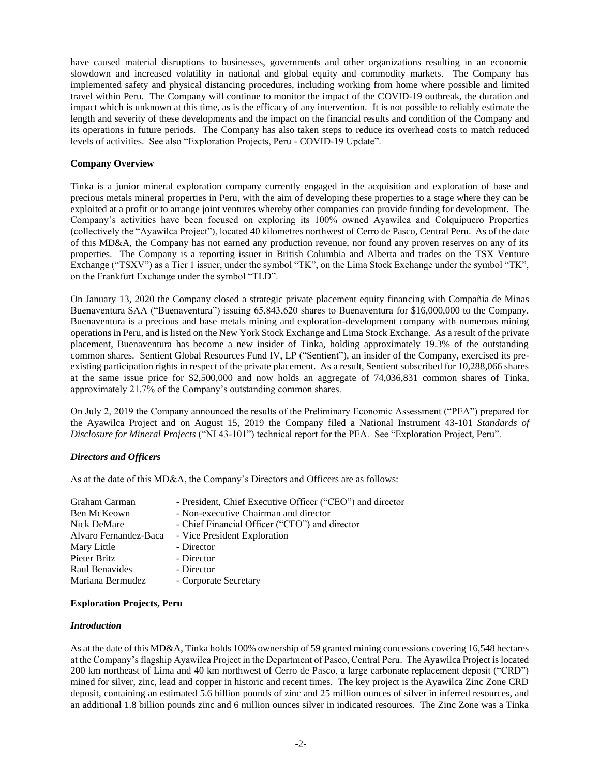have caused material disruptions to businesses, governments and other organizations resulting in an economic slowdown and increased volatility in national and global equity and commodity markets. The Company has implemented safety and physical distancing procedures, including working from home where possible and limited travel within Peru. The Company will continue to monitor the impact of the COVID-19 outbreak, the duration and impact which is unknown at this time, as is the efficacy of any intervention. It is not possible to reliably estimate the length and severity of these developments and the impact on the financial results and condition of the Company and its operations in future periods. The Company has also taken steps to reduce its overhead costs to match reduced levels of activities. See also "Exploration Projects, Peru - COVID-19 Update".

### **Company Overview**

Tinka is a junior mineral exploration company currently engaged in the acquisition and exploration of base and precious metals mineral properties in Peru, with the aim of developing these properties to a stage where they can be exploited at a profit or to arrange joint ventures whereby other companies can provide funding for development. The Company's activities have been focused on exploring its 100% owned Ayawilca and Colquipucro Properties (collectively the "Ayawilca Project"), located 40 kilometres northwest of Cerro de Pasco, Central Peru. As of the date of this MD&A, the Company has not earned any production revenue, nor found any proven reserves on any of its properties. The Company is a reporting issuer in British Columbia and Alberta and trades on the TSX Venture Exchange ("TSXV") as a Tier 1 issuer, under the symbol "TK", on the Lima Stock Exchange under the symbol "TK", on the Frankfurt Exchange under the symbol "TLD".

On January 13, 2020 the Company closed a strategic private placement equity financing with Compañia de Minas Buenaventura SAA ("Buenaventura") issuing 65,843,620 shares to Buenaventura for \$16,000,000 to the Company. Buenaventura is a precious and base metals mining and exploration-development company with numerous mining operations in Peru, and is listed on the New York Stock Exchange and Lima Stock Exchange. As a result of the private placement, Buenaventura has become a new insider of Tinka, holding approximately 19.3% of the outstanding common shares. Sentient Global Resources Fund IV, LP ("Sentient"), an insider of the Company, exercised its preexisting participation rights in respect of the private placement. As a result, Sentient subscribed for 10,288,066 shares at the same issue price for \$2,500,000 and now holds an aggregate of 74,036,831 common shares of Tinka, approximately 21.7% of the Company's outstanding common shares.

On July 2, 2019 the Company announced the results of the Preliminary Economic Assessment ("PEA") prepared for the Ayawilca Project and on August 15, 2019 the Company filed a National Instrument 43-101 *Standards of Disclosure for Mineral Projects* ("NI 43-101") technical report for the PEA. See "Exploration Project, Peru".

## *Directors and Officers*

As at the date of this MD&A, the Company's Directors and Officers are as follows:

| Graham Carman         | - President, Chief Executive Officer ("CEO") and director |
|-----------------------|-----------------------------------------------------------|
| Ben McKeown           | - Non-executive Chairman and director                     |
| Nick DeMare           | - Chief Financial Officer ("CFO") and director            |
| Alvaro Fernandez-Baca | - Vice President Exploration                              |
| Mary Little           | - Director                                                |
| Pieter Britz          | - Director                                                |
| Raul Benavides        | - Director                                                |
| Mariana Bermudez      | - Corporate Secretary                                     |

### **Exploration Projects, Peru**

### *Introduction*

As at the date of this MD&A, Tinka holds 100% ownership of 59 granted mining concessions covering 16,548 hectares at the Company's flagship Ayawilca Project in the Department of Pasco, Central Peru. The Ayawilca Project is located 200 km northeast of Lima and 40 km northwest of Cerro de Pasco, a large carbonate replacement deposit ("CRD") mined for silver, zinc, lead and copper in historic and recent times. The key project is the Ayawilca Zinc Zone CRD deposit, containing an estimated 5.6 billion pounds of zinc and 25 million ounces of silver in inferred resources, and an additional 1.8 billion pounds zinc and 6 million ounces silver in indicated resources. The Zinc Zone was a Tinka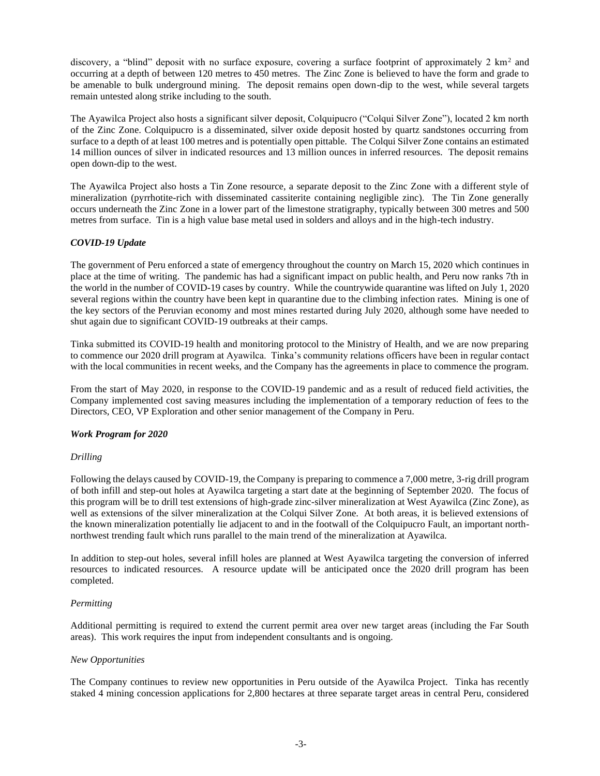discovery, a "blind" deposit with no surface exposure, covering a surface footprint of approximately  $2 \text{ km}^2$  and occurring at a depth of between 120 metres to 450 metres. The Zinc Zone is believed to have the form and grade to be amenable to bulk underground mining. The deposit remains open down-dip to the west, while several targets remain untested along strike including to the south.

The Ayawilca Project also hosts a significant silver deposit, Colquipucro ("Colqui Silver Zone"), located 2 km north of the Zinc Zone. Colquipucro is a disseminated, silver oxide deposit hosted by quartz sandstones occurring from surface to a depth of at least 100 metres and is potentially open pittable. The Colqui Silver Zone contains an estimated 14 million ounces of silver in indicated resources and 13 million ounces in inferred resources. The deposit remains open down-dip to the west.

The Ayawilca Project also hosts a Tin Zone resource, a separate deposit to the Zinc Zone with a different style of mineralization (pyrrhotite-rich with disseminated cassiterite containing negligible zinc). The Tin Zone generally occurs underneath the Zinc Zone in a lower part of the limestone stratigraphy, typically between 300 metres and 500 metres from surface. Tin is a high value base metal used in solders and alloys and in the high-tech industry.

# *COVID-19 Update*

The government of Peru enforced a state of emergency throughout the country on March 15, 2020 which continues in place at the time of writing. The pandemic has had a significant impact on public health, and Peru now ranks 7th in the world in the number of COVID-19 cases by country. While the countrywide quarantine was lifted on July 1, 2020 several regions within the country have been kept in quarantine due to the climbing infection rates. Mining is one of the key sectors of the Peruvian economy and most mines restarted during July 2020, although some have needed to shut again due to significant COVID-19 outbreaks at their camps.

Tinka submitted its COVID-19 health and monitoring protocol to the Ministry of Health, and we are now preparing to commence our 2020 drill program at Ayawilca. Tinka's community relations officers have been in regular contact with the local communities in recent weeks, and the Company has the agreements in place to commence the program.

From the start of May 2020, in response to the COVID-19 pandemic and as a result of reduced field activities, the Company implemented cost saving measures including the implementation of a temporary reduction of fees to the Directors, CEO, VP Exploration and other senior management of the Company in Peru.

# *Work Program for 2020*

# *Drilling*

Following the delays caused by COVID-19, the Company is preparing to commence a 7,000 metre, 3-rig drill program of both infill and step-out holes at Ayawilca targeting a start date at the beginning of September 2020. The focus of this program will be to drill test extensions of high-grade zinc-silver mineralization at West Ayawilca (Zinc Zone), as well as extensions of the silver mineralization at the Colqui Silver Zone. At both areas, it is believed extensions of the known mineralization potentially lie adjacent to and in the footwall of the Colquipucro Fault, an important northnorthwest trending fault which runs parallel to the main trend of the mineralization at Ayawilca.

In addition to step-out holes, several infill holes are planned at West Ayawilca targeting the conversion of inferred resources to indicated resources. A resource update will be anticipated once the 2020 drill program has been completed.

# *Permitting*

Additional permitting is required to extend the current permit area over new target areas (including the Far South areas). This work requires the input from independent consultants and is ongoing.

# *New Opportunities*

The Company continues to review new opportunities in Peru outside of the Ayawilca Project. Tinka has recently staked 4 mining concession applications for 2,800 hectares at three separate target areas in central Peru, considered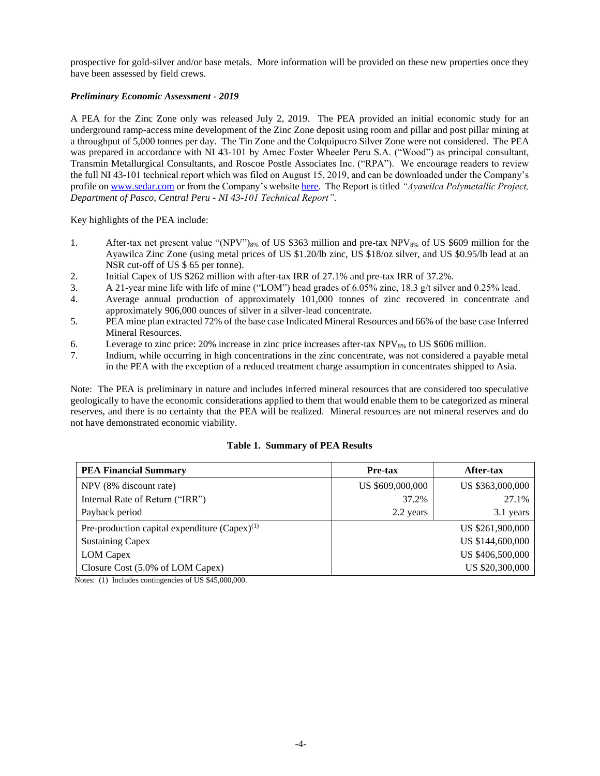prospective for gold-silver and/or base metals. More information will be provided on these new properties once they have been assessed by field crews.

# *Preliminary Economic Assessment - 2019*

A PEA for the Zinc Zone only was released July 2, 2019. The PEA provided an initial economic study for an underground ramp-access mine development of the Zinc Zone deposit using room and pillar and post pillar mining at a throughput of 5,000 tonnes per day. The Tin Zone and the Colquipucro Silver Zone were not considered. The PEA was prepared in accordance with NI 43-101 by Amec Foster Wheeler Peru S.A. ("Wood") as principal consultant, Transmin Metallurgical Consultants, and Roscoe Postle Associates Inc. ("RPA"). We encourage readers to review the full NI 43-101 technical report which was filed on August 15, 2019, and can be downloaded under the Company's profile on [www.sedar.com](http://www.sedar.com/) or from the Company's websit[e here.](https://www.tinkaresources.com/assets/docs/reports/Tinka%20Ayawilca%20TR%20Final.pdf) The Report is titled *"Ayawilca Polymetallic Project, Department of Pasco, Central Peru - NI 43-101 Technical Report"*.

Key highlights of the PEA include:

- 1. After-tax net present value "(NPV")<sub>8%</sub> of US \$363 million and pre-tax NPV<sub>8%</sub> of US \$609 million for the Ayawilca Zinc Zone (using metal prices of US \$1.20/lb zinc, US \$18/oz silver, and US \$0.95/lb lead at an NSR cut-off of US \$ 65 per tonne).
- 2. Initial Capex of US \$262 million with after-tax IRR of 27.1% and pre-tax IRR of 37.2%.
- 3. A 21-year mine life with life of mine ("LOM") head grades of 6.05% zinc, 18.3 g/t silver and 0.25% lead.
- 4. Average annual production of approximately 101,000 tonnes of zinc recovered in concentrate and approximately 906,000 ounces of silver in a silver-lead concentrate.
- 5. PEA mine plan extracted 72% of the base case Indicated Mineral Resources and 66% of the base case Inferred Mineral Resources.
- 6. Leverage to zinc price: 20% increase in zinc price increases after-tax NPV8% to US \$606 million.
- 7. Indium, while occurring in high concentrations in the zinc concentrate, was not considered a payable metal in the PEA with the exception of a reduced treatment charge assumption in concentrates shipped to Asia.

Note: The PEA is preliminary in nature and includes inferred mineral resources that are considered too speculative geologically to have the economic considerations applied to them that would enable them to be categorized as mineral reserves, and there is no certainty that the PEA will be realized. Mineral resources are not mineral reserves and do not have demonstrated economic viability.

| <b>PEA Financial Summary</b>                       | Pre-tax          | After-tax        |
|----------------------------------------------------|------------------|------------------|
| NPV (8% discount rate)                             | US \$609,000,000 | US \$363,000,000 |
| Internal Rate of Return ("IRR")                    | 37.2%            | 27.1%            |
| Payback period                                     | 2.2 years        | 3.1 years        |
| Pre-production capital expenditure $(Capex)^{(1)}$ |                  | US \$261,900,000 |
| <b>Sustaining Capex</b>                            |                  | US \$144,600,000 |
| <b>LOM</b> Capex                                   |                  | US \$406,500,000 |
| Closure Cost (5.0% of LOM Capex)                   |                  | US \$20,300,000  |

### **Table 1. Summary of PEA Results**

Notes: (1) Includes contingencies of US \$45,000,000.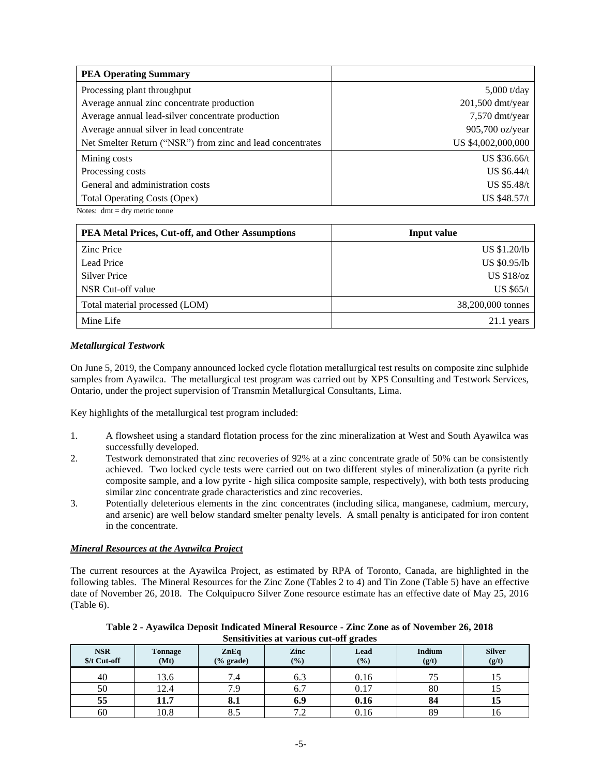| <b>PEA Operating Summary</b>                               |                    |
|------------------------------------------------------------|--------------------|
| Processing plant throughput                                | 5,000 t/day        |
| Average annual zinc concentrate production                 | 201,500 dmt/year   |
| Average annual lead-silver concentrate production          | $7,570$ dmt/year   |
| Average annual silver in lead concentrate                  | 905,700 oz/year    |
| Net Smelter Return ("NSR") from zinc and lead concentrates | US \$4,002,000,000 |
| Mining costs                                               | US \$36.66/t       |
| Processing costs                                           | US $$6.44/t$       |
| General and administration costs                           | US \$5.48/t        |
| Total Operating Costs (Opex)                               | US \$48.57/t       |
| Notes: $dmt = dry$ metric tonne                            |                    |

| <b>PEA Metal Prices, Cut-off, and Other Assumptions</b> | <b>Input value</b> |
|---------------------------------------------------------|--------------------|
| Zinc Price                                              | US \$1.20/lb       |
| Lead Price                                              | US \$0.95/lb       |
| <b>Silver Price</b>                                     | <b>US \$18/oz</b>  |
| NSR Cut-off value                                       | <b>US \$65/t</b>   |
| Total material processed (LOM)                          | 38,200,000 tonnes  |
| Mine Life                                               | $21.1$ years       |

# *Metallurgical Testwork*

On June 5, 2019, the Company announced locked cycle flotation metallurgical test results on composite zinc sulphide samples from Ayawilca. The metallurgical test program was carried out by XPS Consulting and Testwork Services, Ontario, under the project supervision of Transmin Metallurgical Consultants, Lima.

Key highlights of the metallurgical test program included:

- 1. A flowsheet using a standard flotation process for the zinc mineralization at West and South Ayawilca was successfully developed.
- 2. Testwork demonstrated that zinc recoveries of 92% at a zinc concentrate grade of 50% can be consistently achieved. Two locked cycle tests were carried out on two different styles of mineralization (a pyrite rich composite sample, and a low pyrite - high silica composite sample, respectively), with both tests producing similar zinc concentrate grade characteristics and zinc recoveries.
- 3. Potentially deleterious elements in the zinc concentrates (including silica, manganese, cadmium, mercury, and arsenic) are well below standard smelter penalty levels. A small penalty is anticipated for iron content in the concentrate.

### *Mineral Resources at the Ayawilca Project*

The current resources at the Ayawilca Project, as estimated by RPA of Toronto, Canada, are highlighted in the following tables. The Mineral Resources for the Zinc Zone (Tables 2 to 4) and Tin Zone (Table 5) have an effective date of November 26, 2018. The Colquipucro Silver Zone resource estimate has an effective date of May 25, 2016 (Table 6).

| Sensitivities at various cut-on grades |                        |                      |             |             |                        |                        |  |  |
|----------------------------------------|------------------------|----------------------|-------------|-------------|------------------------|------------------------|--|--|
| <b>NSR</b><br>\$/t Cut-off             | <b>Tonnage</b><br>(Mt) | ZnEq<br>$(\%$ grade) | Zinc<br>(%) | Lead<br>(%) | <b>Indium</b><br>(g/t) | <b>Silver</b><br>(g/t) |  |  |
| 40                                     | 13.6                   | 7.4                  | 6.3         | 0.16        |                        |                        |  |  |
| 50                                     | 12.4                   | 7.9                  | 0.7         | 0.17        | 80                     |                        |  |  |
| 55                                     | 11.7                   | 8.1                  | 6.9         | 0.16        | 84                     | 15                     |  |  |
| 60                                     | 10.8                   | 8.5                  | 70          | 0.16        | 89                     | 10                     |  |  |

| Table 2 - Ayawilca Deposit Indicated Mineral Resource - Zinc Zone as of November 26, 2018 |  |
|-------------------------------------------------------------------------------------------|--|
| Sensitivities at various cut-off grades                                                   |  |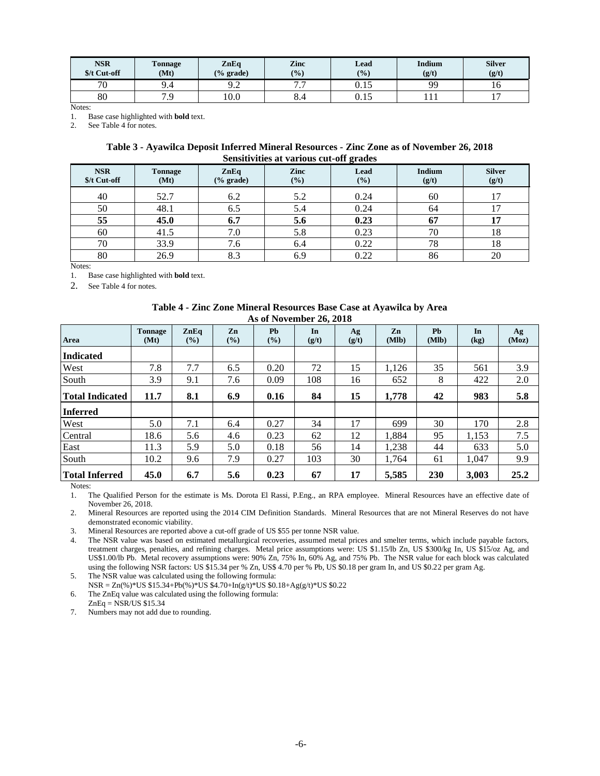| <b>NSR</b><br>\$/t Cut-off | <b>Tonnage</b><br>(Mt) | ZnEq<br>$(\%$ grade) | Zinc<br>(9/0)            | Lead<br>(9/0) | Indium<br>(g/t) | <b>Silver</b><br>(g/t)   |
|----------------------------|------------------------|----------------------|--------------------------|---------------|-----------------|--------------------------|
| 70                         | 9.4                    | ــ                   | $\overline{ }$<br>-<br>. | 15<br>V. LJ   | QQ              | 10                       |
| 80                         | L                      | 10.0                 | —…                       | - -<br>U. I J |                 | $\overline{\phantom{0}}$ |

Notes:

1. Base case highlighted with **bold** text.

2. See Table 4 for notes.

### **Table 3 - Ayawilca Deposit Inferred Mineral Resources - Zinc Zone as of November 26, 2018 Sensitivities at various cut-off grades**

| <b>NSR</b><br>\$/t Cut-off | <b>Tonnage</b><br>(Mt) | ZnEq<br>$(\%$ grade) | Zinc<br>(%) | Lead<br>$(\%)$ | Indium<br>(g/t) | <b>Silver</b><br>(g/t) |
|----------------------------|------------------------|----------------------|-------------|----------------|-----------------|------------------------|
| 40                         | 52.7                   | 6.2                  | 5.2         | 0.24           | 60              | 7                      |
| 50                         | 48.1                   | 6.5                  | 5.4         | 0.24           | 64              |                        |
| 55                         | 45.0                   | 6.7                  | 5.6         | 0.23           | 67              | 17                     |
| 60                         | 41.5                   | 7.0                  | 5.8         | 0.23           | 70              | 18                     |
| 70                         | 33.9                   | 7.6                  | 6.4         | 0.22           | 78              | 18                     |
| 80                         | 26.9                   | 8.3                  | 6.9         | 0.22           | 86              | 20                     |

Notes:

1. Base case highlighted with **bold** text.

2. See Table 4 for notes.

#### **Table 4 - Zinc Zone Mineral Resources Base Case at Ayawilca by Area As of November 26, 2018**

| Area                   | <b>Tonnage</b><br>(Mt) | ZnEq<br>$($ %) | Zn<br>(%) | <b>Pb</b><br>(%) | In    | Ag    | Zn<br>(Mlb) | <b>Ph</b><br>(Mlb) | In    | Ag<br>(Moz) |
|------------------------|------------------------|----------------|-----------|------------------|-------|-------|-------------|--------------------|-------|-------------|
|                        |                        |                |           |                  | (g/t) | (g/t) |             |                    | (kg)  |             |
| Indicated              |                        |                |           |                  |       |       |             |                    |       |             |
| West                   | 7.8                    | 7.7            | 6.5       | 0.20             | 72    | 15    | 1,126       | 35                 | 561   | 3.9         |
| South                  | 3.9                    | 9.1            | 7.6       | 0.09             | 108   | 16    | 652         | 8                  | 422   | 2.0         |
| <b>Total Indicated</b> | 11.7                   | 8.1            | 6.9       | 0.16             | 84    | 15    | 1,778       | 42                 | 983   | 5.8         |
| <b>Inferred</b>        |                        |                |           |                  |       |       |             |                    |       |             |
| West                   | 5.0                    | 7.1            | 6.4       | 0.27             | 34    | 17    | 699         | 30                 | 170   | 2.8         |
| Central                | 18.6                   | 5.6            | 4.6       | 0.23             | 62    | 12    | 1,884       | 95                 | 1,153 | 7.5         |
| East                   | 11.3                   | 5.9            | 5.0       | 0.18             | 56    | 14    | 1,238       | 44                 | 633   | 5.0         |
| South                  | 10.2                   | 9.6            | 7.9       | 0.27             | 103   | 30    | 1,764       | 61                 | 1,047 | 9.9         |
| <b>Total Inferred</b>  | 45.0                   | 6.7            | 5.6       | 0.23             | 67    | 17    | 5,585       | 230                | 3,003 | 25.2        |

Notes:

1. The Qualified Person for the estimate is Ms. Dorota El Rassi, P.Eng., an RPA employee. Mineral Resources have an effective date of November 26, 2018.

2. Mineral Resources are reported using the 2014 CIM Definition Standards. Mineral Resources that are not Mineral Reserves do not have demonstrated economic viability.

3. Mineral Resources are reported above a cut-off grade of US \$55 per tonne NSR value.

4. The NSR value was based on estimated metallurgical recoveries, assumed metal prices and smelter terms, which include payable factors, treatment charges, penalties, and refining charges. Metal price assumptions were: US \$1.15/lb Zn, US \$300/kg In, US \$15/oz Ag, and US\$1.00/lb Pb. Metal recovery assumptions were: 90% Zn, 75% In, 60% Ag, and 75% Pb. The NSR value for each block was calculated using the following NSR factors: US \$15.34 per % Zn, US\$ 4.70 per % Pb, US \$0.18 per gram In, and US \$0.22 per gram Ag.

5. The NSR value was calculated using the following formula:

 $NSR = Zn(\%)^*US \$15.34 + Pb(\%)^*US \$4.70 + In(g/t)*US \$0.18 + Ag(g/t)*US \$0.22$ 6. The ZnEq value was calculated using the following formula:  $ZnEq = NSR/US$  \$15.34

7. Numbers may not add due to rounding.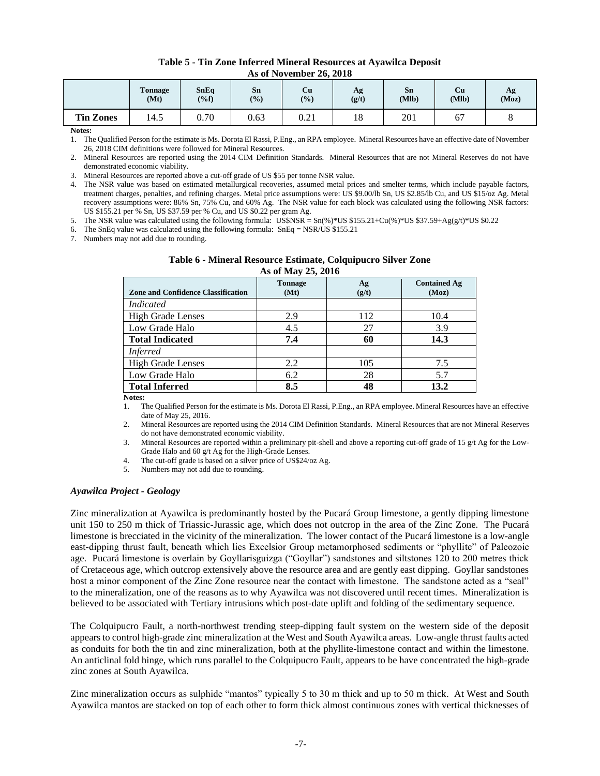| Table 5 - Tin Zone Inferred Mineral Resources at Ayawilca Deposit |  |
|-------------------------------------------------------------------|--|
| As of November 26, 2018                                           |  |

|                  | <b>Tonnage</b> | <b>SnEq</b> | Sn              | Cu   | Ag    | Sn    | Сu    | Ag    |
|------------------|----------------|-------------|-----------------|------|-------|-------|-------|-------|
|                  | (Mt)           | $(\%f)$     | $(\frac{6}{6})$ | (%)  | (g/t) | (Mlb) | (Mlb) | (Moz) |
| <b>Tin Zones</b> | 14.5           | 0.70        | 0.63            | 0.21 | 18    | 201   | 67    |       |

**Notes:**

1. The Qualified Person for the estimate is Ms. Dorota El Rassi, P.Eng., an RPA employee. Mineral Resources have an effective date of November 26, 2018 CIM definitions were followed for Mineral Resources.

2. Mineral Resources are reported using the 2014 CIM Definition Standards. Mineral Resources that are not Mineral Reserves do not have demonstrated economic viability.

3. Mineral Resources are reported above a cut-off grade of US \$55 per tonne NSR value.

4. The NSR value was based on estimated metallurgical recoveries, assumed metal prices and smelter terms, which include payable factors, treatment charges, penalties, and refining charges. Metal price assumptions were: US \$9.00/lb Sn, US \$2.85/lb Cu, and US \$15/oz Ag. Metal recovery assumptions were: 86% Sn, 75% Cu, and 60% Ag. The NSR value for each block was calculated using the following NSR factors: US \$155.21 per % Sn, US \$37.59 per % Cu, and US \$0.22 per gram Ag.

5. The NSR value was calculated using the following formula:  $U\overline{S}$ SNSR = Sn(%)\*US \$155.21+Cu(%)\*US \$37.59+Ag(g/t)\*US \$0.22

6. The SnEq value was calculated using the following formula: SnEq = NSR/US \$155.21

7. Numbers may not add due to rounding.

**Table 6 - Mineral Resource Estimate, Colquipucro Silver Zone As of May 25, 2016**

| <b>Zone and Confidence Classification</b> | <b>Tonnage</b><br>(Mt) | Ag<br>(g/t) | <b>Contained Ag</b><br>(Moz) |
|-------------------------------------------|------------------------|-------------|------------------------------|
| Indicated                                 |                        |             |                              |
| <b>High Grade Lenses</b>                  | 2.9                    | 112         | 10.4                         |
| Low Grade Halo                            | 4.5                    | 27          | 3.9                          |
| <b>Total Indicated</b>                    | 7.4                    | 60          | 14.3                         |
| <i>Inferred</i>                           |                        |             |                              |
| <b>High Grade Lenses</b>                  | 2.2                    | 105         | 7.5                          |
| Low Grade Halo                            | 6.2                    | 28          | 5.7                          |
| <b>Total Inferred</b>                     | 8.5                    | 48          | 13.2                         |

**Notes:**

1. The Qualified Person for the estimate is Ms. Dorota El Rassi, P.Eng., an RPA employee. Mineral Resources have an effective date of May 25, 2016.

2. Mineral Resources are reported using the 2014 CIM Definition Standards. Mineral Resources that are not Mineral Reserves do not have demonstrated economic viability.

3. Mineral Resources are reported within a preliminary pit-shell and above a reporting cut-off grade of 15 g/t Ag for the Low-Grade Halo and 60 g/t Ag for the High-Grade Lenses.

4. The cut-off grade is based on a silver price of US\$24/oz Ag.<br>5. Numbers may not add due to rounding

Numbers may not add due to rounding.

#### *Ayawilca Project - Geology*

Zinc mineralization at Ayawilca is predominantly hosted by the Pucará Group limestone, a gently dipping limestone unit 150 to 250 m thick of Triassic-Jurassic age, which does not outcrop in the area of the Zinc Zone. The Pucará limestone is brecciated in the vicinity of the mineralization. The lower contact of the Pucará limestone is a low-angle east-dipping thrust fault, beneath which lies Excelsior Group metamorphosed sediments or "phyllite" of Paleozoic age. Pucará limestone is overlain by Goyllarisguizga ("Goyllar") sandstones and siltstones 120 to 200 metres thick of Cretaceous age, which outcrop extensively above the resource area and are gently east dipping. Goyllar sandstones host a minor component of the Zinc Zone resource near the contact with limestone. The sandstone acted as a "seal" to the mineralization, one of the reasons as to why Ayawilca was not discovered until recent times. Mineralization is believed to be associated with Tertiary intrusions which post-date uplift and folding of the sedimentary sequence.

The Colquipucro Fault, a north-northwest trending steep-dipping fault system on the western side of the deposit appears to control high-grade zinc mineralization at the West and South Ayawilca areas. Low-angle thrust faults acted as conduits for both the tin and zinc mineralization, both at the phyllite-limestone contact and within the limestone. An anticlinal fold hinge, which runs parallel to the Colquipucro Fault, appears to be have concentrated the high-grade zinc zones at South Ayawilca.

Zinc mineralization occurs as sulphide "mantos" typically 5 to 30 m thick and up to 50 m thick. At West and South Ayawilca mantos are stacked on top of each other to form thick almost continuous zones with vertical thicknesses of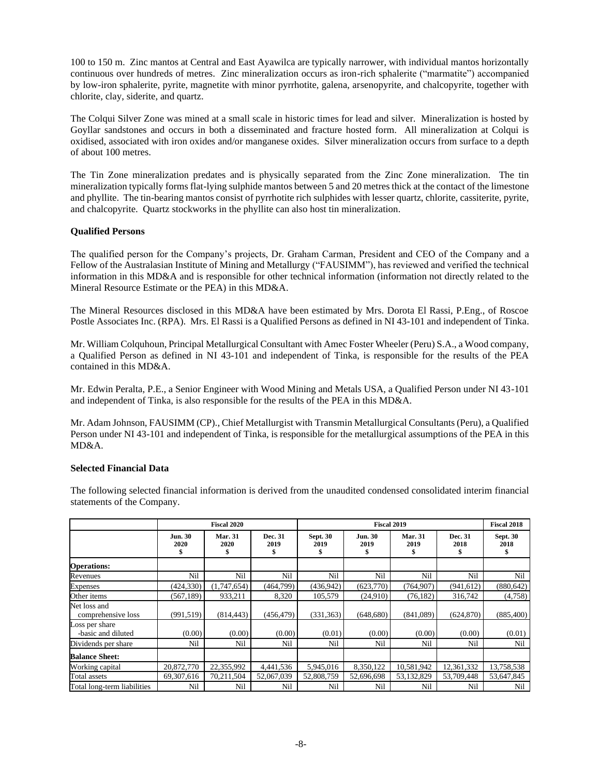100 to 150 m. Zinc mantos at Central and East Ayawilca are typically narrower, with individual mantos horizontally continuous over hundreds of metres. Zinc mineralization occurs as iron-rich sphalerite ("marmatite") accompanied by low-iron sphalerite, pyrite, magnetite with minor pyrrhotite, galena, arsenopyrite, and chalcopyrite, together with chlorite, clay, siderite, and quartz.

The Colqui Silver Zone was mined at a small scale in historic times for lead and silver. Mineralization is hosted by Goyllar sandstones and occurs in both a disseminated and fracture hosted form. All mineralization at Colqui is oxidised, associated with iron oxides and/or manganese oxides. Silver mineralization occurs from surface to a depth of about 100 metres.

The Tin Zone mineralization predates and is physically separated from the Zinc Zone mineralization. The tin mineralization typically forms flat-lying sulphide mantos between 5 and 20 metres thick at the contact of the limestone and phyllite. The tin-bearing mantos consist of pyrrhotite rich sulphides with lesser quartz, chlorite, cassiterite, pyrite, and chalcopyrite. Quartz stockworks in the phyllite can also host tin mineralization.

# **Qualified Persons**

The qualified person for the Company's projects, Dr. Graham Carman, President and CEO of the Company and a Fellow of the Australasian Institute of Mining and Metallurgy ("FAUSIMM"), has reviewed and verified the technical information in this MD&A and is responsible for other technical information (information not directly related to the Mineral Resource Estimate or the PEA) in this MD&A.

The Mineral Resources disclosed in this MD&A have been estimated by Mrs. Dorota El Rassi, P.Eng., of Roscoe Postle Associates Inc. (RPA). Mrs. El Rassi is a Qualified Persons as defined in NI 43-101 and independent of Tinka.

Mr. William Colquhoun, Principal Metallurgical Consultant with Amec Foster Wheeler (Peru) S.A., a Wood company, a Qualified Person as defined in NI 43-101 and independent of Tinka, is responsible for the results of the PEA contained in this MD&A.

Mr. Edwin Peralta, P.E., a Senior Engineer with Wood Mining and Metals USA, a Qualified Person under NI 43-101 and independent of Tinka, is also responsible for the results of the PEA in this MD&A.

Mr. Adam Johnson, FAUSIMM (CP)., Chief Metallurgist with Transmin Metallurgical Consultants (Peru), a Qualified Person under NI 43-101 and independent of Tinka, is responsible for the metallurgical assumptions of the PEA in this MD&A.

# **Selected Financial Data**

The following selected financial information is derived from the unaudited condensed consolidated interim financial statements of the Company.

|                                      | <b>Fiscal 2020</b>           |                        |                       | Fiscal 2019             |                              |                              |                 | Fiscal 2018             |
|--------------------------------------|------------------------------|------------------------|-----------------------|-------------------------|------------------------------|------------------------------|-----------------|-------------------------|
|                                      | <b>Jun. 30</b><br>2020<br>\$ | <b>Mar. 31</b><br>2020 | Dec. 31<br>2019<br>\$ | <b>Sept. 30</b><br>2019 | <b>Jun. 30</b><br>2019<br>\$ | <b>Mar. 31</b><br>2019<br>\$ | Dec. 31<br>2018 | <b>Sept. 30</b><br>2018 |
| <b>Operations:</b>                   |                              |                        |                       |                         |                              |                              |                 |                         |
| Revenues                             | Nil                          | Nil                    | Nil                   | Nil                     | Nil                          | Nil                          | Nil             | Nil                     |
| <b>Expenses</b>                      | (424, 330)                   | (1,747,654)            | (464,799)             | (436,942)               | (623,770)                    | (764, 907)                   | (941, 612)      | (880, 642)              |
| Other items                          | (567.189)                    | 933,211                | 8,320                 | 105,579                 | (24,910)                     | (76, 182)                    | 316,742         | (4,758)                 |
| Net loss and<br>comprehensive loss   | (991, 519)                   | (814, 443)             | (456, 479)            | (331, 363)              | (648, 680)                   | (841.089)                    | (624, 870)      | (885, 400)              |
| Loss per share<br>-basic and diluted | (0.00)                       | (0.00)                 | (0.00)                | (0.01)                  | (0.00)                       | (0.00)                       | (0.00)          | (0.01)                  |
| Dividends per share                  | Nil                          | Nil                    | Nil                   | Nil                     | Nil                          | Nil                          | Nil             | Nil                     |
| <b>Balance Sheet:</b>                |                              |                        |                       |                         |                              |                              |                 |                         |
| Working capital                      | 20,872,770                   | 22,355,992             | 4,441,536             | 5,945,016               | 8,350,122                    | 10,581,942                   | 12,361,332      | 13,758,538              |
| Total assets                         | 69,307,616                   | 70,211,504             | 52,067,039            | 52,808,759              | 52,696,698                   | 53,132,829                   | 53,709,448      | 53,647,845              |
| Total long-term liabilities          | Nil                          | Nil                    | Nil                   | Nil                     | Nil                          | Nil                          | Nil             | Nil                     |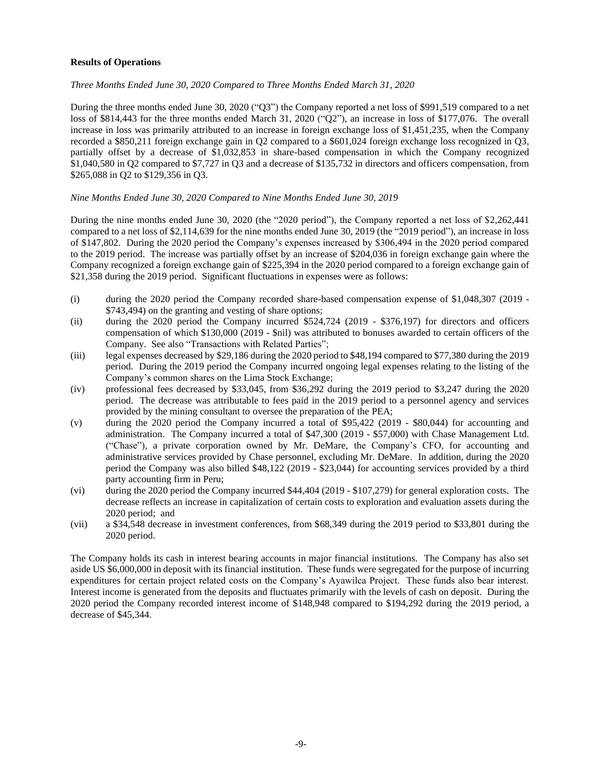# **Results of Operations**

### *Three Months Ended June 30, 2020 Compared to Three Months Ended March 31, 2020*

During the three months ended June 30, 2020 ("Q3") the Company reported a net loss of \$991,519 compared to a net loss of \$814,443 for the three months ended March 31, 2020 ("Q2"), an increase in loss of \$177,076. The overall increase in loss was primarily attributed to an increase in foreign exchange loss of \$1,451,235, when the Company recorded a \$850,211 foreign exchange gain in Q2 compared to a \$601,024 foreign exchange loss recognized in Q3, partially offset by a decrease of \$1,032,853 in share-based compensation in which the Company recognized \$1,040,580 in Q2 compared to \$7,727 in Q3 and a decrease of \$135,732 in directors and officers compensation, from \$265,088 in Q2 to \$129,356 in Q3.

*Nine Months Ended June 30, 2020 Compared to Nine Months Ended June 30, 2019*

During the nine months ended June 30, 2020 (the "2020 period"), the Company reported a net loss of \$2,262,441 compared to a net loss of \$2,114,639 for the nine months ended June 30, 2019 (the "2019 period"), an increase in loss of \$147,802. During the 2020 period the Company's expenses increased by \$306,494 in the 2020 period compared to the 2019 period. The increase was partially offset by an increase of \$204,036 in foreign exchange gain where the Company recognized a foreign exchange gain of \$225,394 in the 2020 period compared to a foreign exchange gain of \$21,358 during the 2019 period. Significant fluctuations in expenses were as follows:

- (i) during the 2020 period the Company recorded share-based compensation expense of \$1,048,307 (2019 \$743,494) on the granting and vesting of share options;
- (ii) during the 2020 period the Company incurred \$524,724 (2019 \$376,197) for directors and officers compensation of which \$130,000 (2019 - \$nil) was attributed to bonuses awarded to certain officers of the Company. See also "Transactions with Related Parties";
- (iii) legal expenses decreased by \$29,186 during the 2020 period to \$48,194 compared to \$77,380 during the 2019 period. During the 2019 period the Company incurred ongoing legal expenses relating to the listing of the Company's common shares on the Lima Stock Exchange;
- (iv) professional fees decreased by \$33,045, from \$36,292 during the 2019 period to \$3,247 during the 2020 period. The decrease was attributable to fees paid in the 2019 period to a personnel agency and services provided by the mining consultant to oversee the preparation of the PEA;
- (v) during the 2020 period the Company incurred a total of \$95,422 (2019 \$80,044) for accounting and administration. The Company incurred a total of \$47,300 (2019 - \$57,000) with Chase Management Ltd. ("Chase"), a private corporation owned by Mr. DeMare, the Company's CFO, for accounting and administrative services provided by Chase personnel, excluding Mr. DeMare. In addition, during the 2020 period the Company was also billed \$48,122 (2019 - \$23,044) for accounting services provided by a third party accounting firm in Peru;
- (vi) during the 2020 period the Company incurred \$44,404 (2019 \$107,279) for general exploration costs. The decrease reflects an increase in capitalization of certain costs to exploration and evaluation assets during the 2020 period; and
- (vii) a \$34,548 decrease in investment conferences, from \$68,349 during the 2019 period to \$33,801 during the 2020 period.

The Company holds its cash in interest bearing accounts in major financial institutions. The Company has also set aside US \$6,000,000 in deposit with its financial institution. These funds were segregated for the purpose of incurring expenditures for certain project related costs on the Company's Ayawilca Project. These funds also bear interest. Interest income is generated from the deposits and fluctuates primarily with the levels of cash on deposit. During the 2020 period the Company recorded interest income of \$148,948 compared to \$194,292 during the 2019 period, a decrease of \$45,344.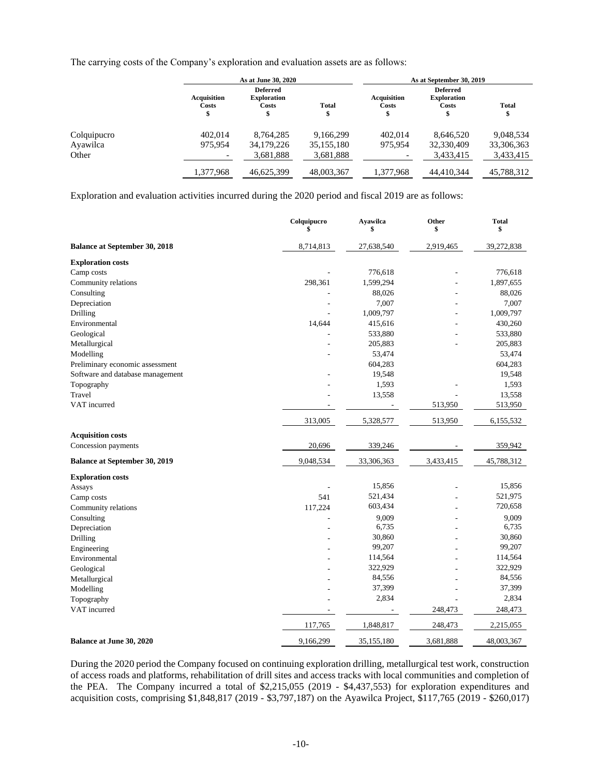The carrying costs of the Company's exploration and evaluation assets are as follows:

|             |                                          | As at June 30, 2020                                         |            | As at September 30, 2019                     |                                                |                    |  |
|-------------|------------------------------------------|-------------------------------------------------------------|------------|----------------------------------------------|------------------------------------------------|--------------------|--|
|             | <b>Acquisition</b><br><b>Costs</b><br>\$ | <b>Deferred</b><br><b>Exploration</b><br><b>Costs</b><br>\$ | Total<br>Ф | <b>Acquisition</b><br><b>Costs</b><br>ቃ<br>ъ | <b>Deferred</b><br><b>Exploration</b><br>Costs | <b>Total</b><br>\$ |  |
| Colquipucro | 402,014                                  | 8,764,285                                                   | 9,166,299  | 402.014                                      | 8.646.520                                      | 9,048,534          |  |
| Ayawilca    | 975.954                                  | 34,179,226                                                  | 35,155,180 | 975.954                                      | 32,330,409                                     | 33,306,363         |  |
| Other       |                                          | 3,681,888                                                   | 3,681,888  |                                              | 3,433,415                                      | 3,433,415          |  |
|             | 1,377,968                                | 46.625.399                                                  | 48,003,367 | 1,377,968                                    | 44.410.344                                     | 45,788,312         |  |

Exploration and evaluation activities incurred during the 2020 period and fiscal 2019 are as follows:

|                                      | Colquipucro<br>ፍ | <b>Ayawilca</b><br>\$ | Other<br>\$ | <b>Total</b><br>\$ |
|--------------------------------------|------------------|-----------------------|-------------|--------------------|
| <b>Balance at September 30, 2018</b> | 8,714,813        | 27,638,540            | 2,919,465   | 39,272,838         |
| <b>Exploration costs</b>             |                  |                       |             |                    |
| Camp costs                           |                  | 776,618               |             | 776,618            |
| Community relations                  | 298,361          | 1,599,294             |             | 1,897,655          |
| Consulting                           |                  | 88,026                |             | 88,026             |
| Depreciation                         |                  | 7,007                 |             | 7,007              |
| Drilling                             |                  | 1,009,797             |             | 1,009,797          |
| Environmental                        | 14,644           | 415,616               |             | 430,260            |
| Geological                           |                  | 533,880               |             | 533,880            |
| Metallurgical                        |                  | 205,883               |             | 205,883            |
| Modelling                            |                  | 53,474                |             | 53,474             |
| Preliminary economic assessment      |                  | 604,283               |             | 604,283            |
| Software and database management     |                  | 19,548                |             | 19,548             |
| Topography                           |                  | 1,593                 |             | 1,593              |
| Travel                               |                  | 13,558                |             | 13,558             |
| VAT incurred                         |                  |                       | 513,950     | 513,950            |
|                                      | 313,005          | 5,328,577             | 513,950     | 6,155,532          |
| <b>Acquisition costs</b>             |                  |                       |             |                    |
| Concession payments                  | 20,696           | 339,246               |             | 359,942            |
| <b>Balance at September 30, 2019</b> | 9,048,534        | 33,306,363            | 3,433,415   | 45,788,312         |
| <b>Exploration costs</b>             |                  |                       |             |                    |
| Assays                               |                  | 15,856                |             | 15,856             |
| Camp costs                           | 541              | 521,434               |             | 521,975            |
| Community relations                  | 117,224          | 603,434               |             | 720,658            |
| Consulting                           |                  | 9.009                 |             | 9.009              |
| Depreciation                         |                  | 6,735                 |             | 6,735              |
| Drilling                             |                  | 30,860                |             | 30,860             |
| Engineering                          |                  | 99,207                |             | 99,207             |
| Environmental                        |                  | 114,564               |             | 114,564            |
| Geological                           |                  | 322,929               |             | 322,929            |
| Metallurgical                        |                  | 84,556                |             | 84,556             |
| Modelling                            |                  | 37,399                |             | 37,399             |
| Topography                           |                  | 2,834                 |             | 2,834              |
| VAT incurred                         |                  |                       | 248,473     | 248,473            |
|                                      | 117,765          | 1,848,817             | 248,473     | 2,215,055          |
| <b>Balance at June 30, 2020</b>      | 9,166,299        | 35,155,180            | 3,681,888   | 48,003,367         |

During the 2020 period the Company focused on continuing exploration drilling, metallurgical test work, construction of access roads and platforms, rehabilitation of drill sites and access tracks with local communities and completion of the PEA. The Company incurred a total of \$2,215,055 (2019 - \$4,437,553) for exploration expenditures and acquisition costs, comprising \$1,848,817 (2019 - \$3,797,187) on the Ayawilca Project, \$117,765 (2019 - \$260,017)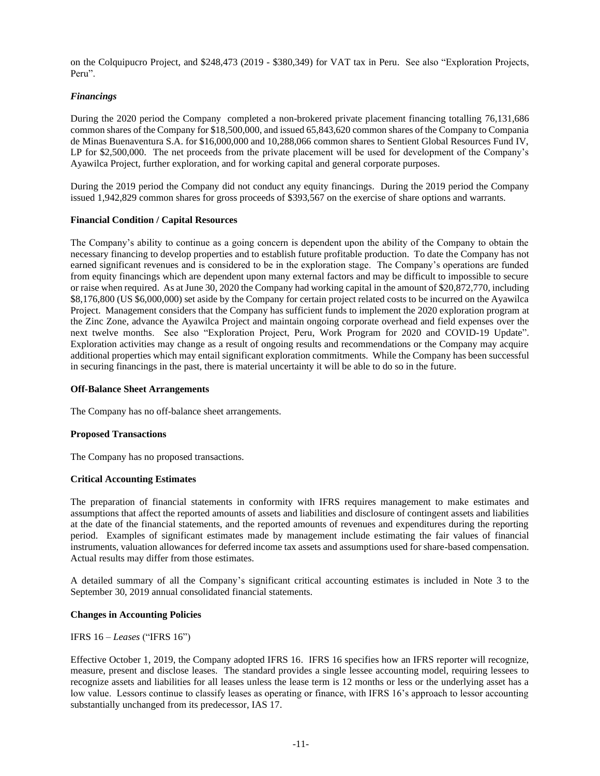on the Colquipucro Project, and \$248,473 (2019 - \$380,349) for VAT tax in Peru. See also "Exploration Projects, Peru".

# *Financings*

During the 2020 period the Company completed a non-brokered private placement financing totalling 76,131,686 common shares of the Company for \$18,500,000, and issued 65,843,620 common shares of the Company to Compania de Minas Buenaventura S.A. for \$16,000,000 and 10,288,066 common shares to Sentient Global Resources Fund IV, LP for \$2,500,000. The net proceeds from the private placement will be used for development of the Company's Ayawilca Project, further exploration, and for working capital and general corporate purposes.

During the 2019 period the Company did not conduct any equity financings. During the 2019 period the Company issued 1,942,829 common shares for gross proceeds of \$393,567 on the exercise of share options and warrants.

# **Financial Condition / Capital Resources**

The Company's ability to continue as a going concern is dependent upon the ability of the Company to obtain the necessary financing to develop properties and to establish future profitable production. To date the Company has not earned significant revenues and is considered to be in the exploration stage. The Company's operations are funded from equity financings which are dependent upon many external factors and may be difficult to impossible to secure or raise when required. As at June 30, 2020 the Company had working capital in the amount of \$20,872,770, including \$8,176,800 (US \$6,000,000) set aside by the Company for certain project related costs to be incurred on the Ayawilca Project. Management considers that the Company has sufficient funds to implement the 2020 exploration program at the Zinc Zone, advance the Ayawilca Project and maintain ongoing corporate overhead and field expenses over the next twelve months. See also "Exploration Project, Peru, Work Program for 2020 and COVID-19 Update". Exploration activities may change as a result of ongoing results and recommendations or the Company may acquire additional properties which may entail significant exploration commitments. While the Company has been successful in securing financings in the past, there is material uncertainty it will be able to do so in the future.

### **Off-Balance Sheet Arrangements**

The Company has no off-balance sheet arrangements.

# **Proposed Transactions**

The Company has no proposed transactions.

# **Critical Accounting Estimates**

The preparation of financial statements in conformity with IFRS requires management to make estimates and assumptions that affect the reported amounts of assets and liabilities and disclosure of contingent assets and liabilities at the date of the financial statements, and the reported amounts of revenues and expenditures during the reporting period. Examples of significant estimates made by management include estimating the fair values of financial instruments, valuation allowances for deferred income tax assets and assumptions used for share-based compensation. Actual results may differ from those estimates.

A detailed summary of all the Company's significant critical accounting estimates is included in Note 3 to the September 30, 2019 annual consolidated financial statements.

# **Changes in Accounting Policies**

# IFRS 16 – *Leases* ("IFRS 16")

Effective October 1, 2019, the Company adopted IFRS 16. IFRS 16 specifies how an IFRS reporter will recognize, measure, present and disclose leases. The standard provides a single lessee accounting model, requiring lessees to recognize assets and liabilities for all leases unless the lease term is 12 months or less or the underlying asset has a low value. Lessors continue to classify leases as operating or finance, with IFRS 16's approach to lessor accounting substantially unchanged from its predecessor, IAS 17.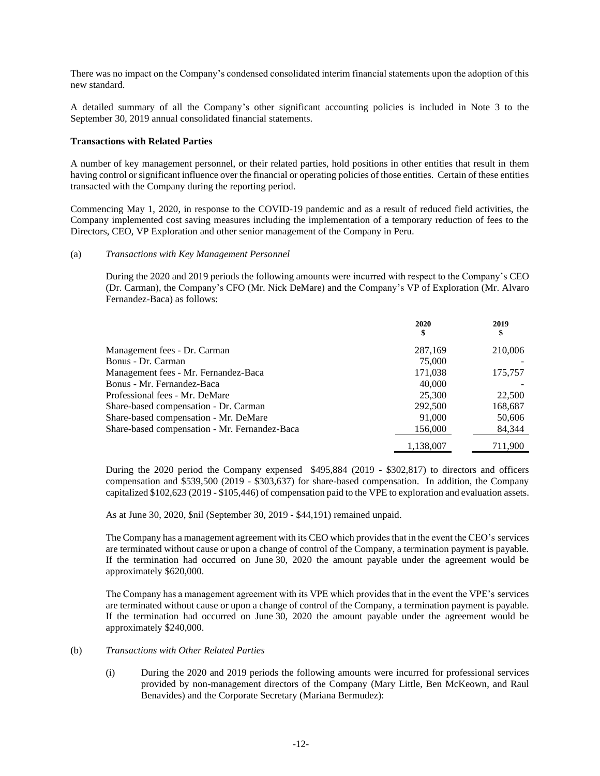There was no impact on the Company's condensed consolidated interim financial statements upon the adoption of this new standard.

A detailed summary of all the Company's other significant accounting policies is included in Note 3 to the September 30, 2019 annual consolidated financial statements.

### **Transactions with Related Parties**

A number of key management personnel, or their related parties, hold positions in other entities that result in them having control or significant influence over the financial or operating policies of those entities. Certain of these entities transacted with the Company during the reporting period.

Commencing May 1, 2020, in response to the COVID-19 pandemic and as a result of reduced field activities, the Company implemented cost saving measures including the implementation of a temporary reduction of fees to the Directors, CEO, VP Exploration and other senior management of the Company in Peru.

### (a) *Transactions with Key Management Personnel*

During the 2020 and 2019 periods the following amounts were incurred with respect to the Company's CEO (Dr. Carman), the Company's CFO (Mr. Nick DeMare) and the Company's VP of Exploration (Mr. Alvaro Fernandez-Baca) as follows:

|                                               | 2020<br>\$ | 2019<br>\$ |
|-----------------------------------------------|------------|------------|
| Management fees - Dr. Carman                  | 287,169    | 210,006    |
| Bonus - Dr. Carman                            | 75,000     |            |
| Management fees - Mr. Fernandez-Baca          | 171,038    | 175,757    |
| Bonus - Mr. Fernandez-Baca                    | 40,000     |            |
| Professional fees - Mr. DeMare                | 25,300     | 22,500     |
| Share-based compensation - Dr. Carman         | 292,500    | 168,687    |
| Share-based compensation - Mr. DeMare         | 91,000     | 50,606     |
| Share-based compensation - Mr. Fernandez-Baca | 156,000    | 84,344     |
|                                               | 1,138,007  | 711.900    |

During the 2020 period the Company expensed \$495,884 (2019 - \$302,817) to directors and officers compensation and \$539,500 (2019 - \$303,637) for share-based compensation. In addition, the Company capitalized \$102,623 (2019 - \$105,446) of compensation paid to the VPE to exploration and evaluation assets.

As at June 30, 2020, \$nil (September 30, 2019 - \$44,191) remained unpaid.

The Company has a management agreement with its CEO which provides that in the event the CEO's services are terminated without cause or upon a change of control of the Company, a termination payment is payable. If the termination had occurred on June 30, 2020 the amount payable under the agreement would be approximately \$620,000.

The Company has a management agreement with its VPE which provides that in the event the VPE's services are terminated without cause or upon a change of control of the Company, a termination payment is payable. If the termination had occurred on June 30, 2020 the amount payable under the agreement would be approximately \$240,000.

#### (b) *Transactions with Other Related Parties*

(i) During the 2020 and 2019 periods the following amounts were incurred for professional services provided by non-management directors of the Company (Mary Little, Ben McKeown, and Raul Benavides) and the Corporate Secretary (Mariana Bermudez):